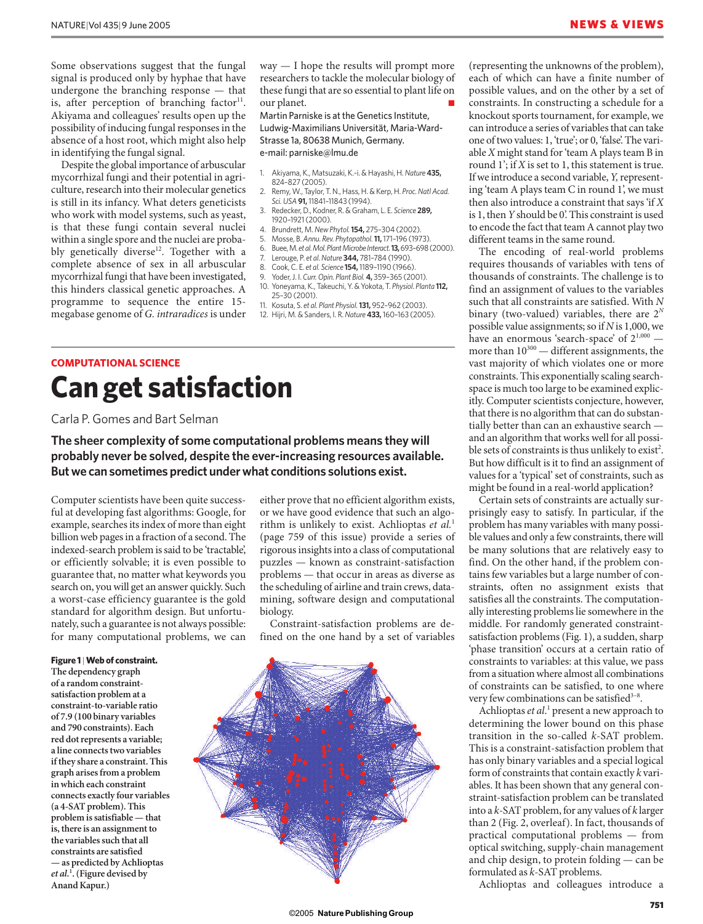Some observations suggest that the fungal signal is produced only by hyphae that have undergone the branching response — that is, after perception of branching factor $11$ . Akiyama and colleagues' results open up the possibility of inducing fungal responses in the absence of a host root, which might also help in identifying the fungal signal.

Despite the global importance of arbuscular mycorrhizal fungi and their potential in agriculture, research into their molecular genetics is still in its infancy. What deters geneticists who work with model systems, such as yeast, is that these fungi contain several nuclei within a single spore and the nuclei are probably genetically diverse<sup>12</sup>. Together with a complete absence of sex in all arbuscular mycorrhizal fungi that have been investigated, this hinders classical genetic approaches. A programme to sequence the entire 15 megabase genome of *G. intraradices* is under way — I hope the results will prompt more researchers to tackle the molecular biology of these fungi that are so essential to plant life on our planet.

Martin Parniske is at the Genetics Institute, Ludwig-Maximilians Universität, Maria-Ward-Strasse 1a, 80638 Munich, Germany. e-mail: parniske@lmu.de

- 1. Akiyama, K., Matsuzaki, K.-i. & Hayashi, H. *Nature***435,** 824–827 (2005).
- 2. Remy, W., Taylor, T. N., Hass, H. & Kerp, H. *Proc. Natl Acad. Sci. USA***91,**11841–11843 (1994).
- 3. Redecker, D., Kodner, R. & Graham, L. E. *Science* **289,** 1920–1921 (2000).
- 4. Brundrett, M. *New Phytol.***154,** 275–304 (2002).
- 5. Mosse, B. *Annu. Rev. Phytopathol.***11,**171–196 (1973).
- 6. Buee, M. *et al. Mol. Plant Microbe Interact.***13,**693–698 (2000).
- 7. Lerouge, P. *et al. Nature* **344,** 781–784 (1990).
- 8. Cook, C. E. *et al. Science* **154,**1189–1190 (1966).
- 9. Yoder, J. I. *Curr. Opin. Plant Biol.* **4,** 359–365 (2001). 10. Yoneyama, K., Takeuchi, Y. & Yokota, T. *Physiol. Planta* **112,** 25–30 (2001).
- 11. Kosuta, S. *et al. Plant Physiol.***131,** 952–962 (2003).
- 12. Hijri, M. & Sanders, I. R. *Nature* **433,**160–163 (2005).

## **COMPUTATIONAL SCIENCE**

# **Can get satisfaction**

Carla P. Gomes and Bart Selman

**The sheer complexity of some computational problems means they will probably never be solved, despite the ever-increasing resources available. But we can sometimes predict under what conditions solutions exist.**

Computer scientists have been quite successful at developing fast algorithms: Google, for example, searches its index of more than eight billion web pages in a fraction of a second. The indexed-search problem is said to be 'tractable', or efficiently solvable; it is even possible to guarantee that, no matter what keywords you search on, you will get an answer quickly. Such a worst-case efficiency guarantee is the gold standard for algorithm design. But unfortunately, such a guarantee is not always possible: for many computational problems, we can

#### **Figure 1** |**Web of constraint.**

**The dependency graph of a random constraintsatisfaction problem at a constraint-to-variable ratio of 7.9 (100 binary variables and 790 constraints). Each red dot represents a variable; a line connects two variables if they share a constraint. This graph arises from a problem in which each constraint connects exactly four variables (a 4-SAT problem). This problem is satisfiable — that is, there is an assignment to the variables such that all constraints are satisfied — as predicted by Achlioptas** *et al.***<sup>1</sup> . (Figure devised by Anand Kapur.)**

either prove that no efficient algorithm exists, or we have good evidence that such an algorithm is unlikely to exist. Achlioptas *et al.*<sup>1</sup> (page 759 of this issue) provide a series of rigorous insights into a class of computational puzzles — known as constraint-satisfaction problems — that occur in areas as diverse as the scheduling of airline and train crews, datamining, software design and computational biology.

Constraint-satisfaction problems are defined on the one hand by a set of variables



(representing the unknowns of the problem), each of which can have a finite number of possible values, and on the other by a set of constraints. In constructing a schedule for a knockout sports tournament, for example, we can introduce a series of variables that can take one of two values: 1, 'true'; or 0, 'false'. The variable *X* might stand for 'team A plays team B in round 1'; if *X* is set to 1, this statement is true. If we introduce a second variable, *Y,*representing 'team A plays team C in round 1', we must then also introduce a constraint that says 'if *X* is 1, then *Y* should be 0'. This constraint is used to encode the fact that team A cannot play two different teams in the same round.

The encoding of real-world problems requires thousands of variables with tens of thousands of constraints. The challenge is to find an assignment of values to the variables such that all constraints are satisfied. With *N* binary (two-valued) variables, there are 2*<sup>N</sup>* possible value assignments; so if *N* is 1,000, we have an enormous 'search-space' of  $2^{1,000}$  more than  $10^{300}$  — different assignments, the vast majority of which violates one or more constraints. This exponentially scaling searchspace is much too large to be examined explicitly. Computer scientists conjecture, however, that there is no algorithm that can do substantially better than can an exhaustive search and an algorithm that works well for all possible sets of constraints is thus unlikely to exist<sup>2</sup>. But how difficult is it to find an assignment of values for a 'typical' set of constraints, such as might be found in a real-world application?

Certain sets of constraints are actually surprisingly easy to satisfy. In particular, if the problem has many variables with many possible values and only a few constraints, there will be many solutions that are relatively easy to find. On the other hand, if the problem contains few variables but a large number of constraints, often no assignment exists that satisfies all the constraints. The computationally interesting problems lie somewhere in the middle. For randomly generated constraintsatisfaction problems (Fig. 1), a sudden, sharp 'phase transition' occurs at a certain ratio of constraints to variables: at this value, we pass from a situation where almost all combinations of constraints can be satisfied, to one where very few combinations can be satisfied<sup>3-8</sup>.

Achlioptas *et al*. <sup>1</sup> present a new approach to determining the lower bound on this phase transition in the so-called *k*-SAT problem. This is a constraint-satisfaction problem that has only binary variables and a special logical form of constraints that contain exactly *k* variables. It has been shown that any general constraint-satisfaction problem can be translated into a *k*-SAT problem, for any values of *k* larger than 2 (Fig. 2, overleaf). In fact, thousands of practical computational problems — from optical switching, supply-chain management and chip design, to protein folding — can be formulated as *k*-SAT problems.

Achlioptas and colleagues introduce a